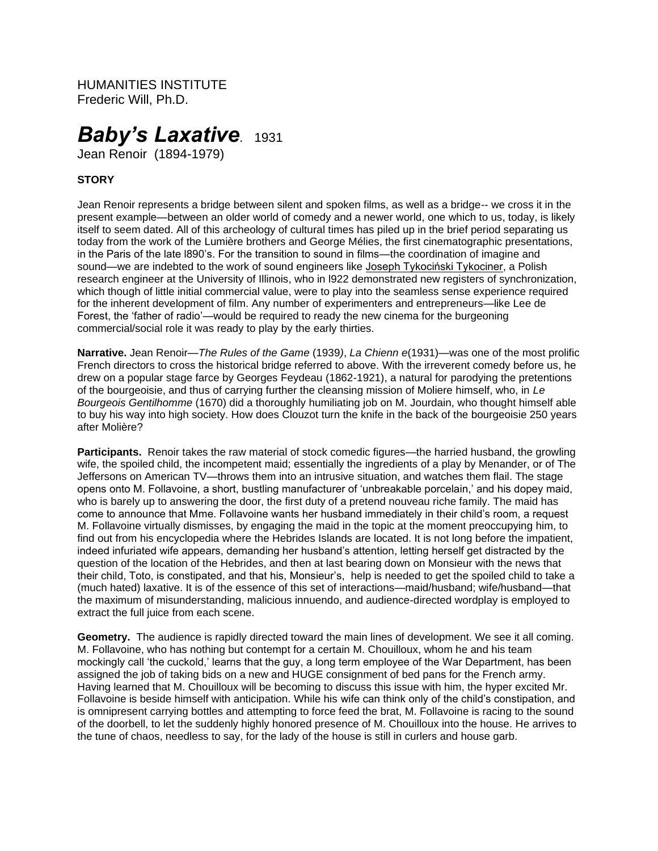HUMANITIES INSTITUTE Frederic Will, Ph.D.

# *Baby's Laxative.* <sup>1931</sup>

Jean Renoir (1894-1979)

# **STORY**

Jean Renoir represents a bridge between silent and spoken films, as well as a bridge-- we cross it in the present example—between an older world of comedy and a newer world, one which to us, today, is likely itself to seem dated. All of this archeology of cultural times has piled up in the brief period separating us today from the work of the Lumière brothers and George Mélies, the first cinematographic presentations, in the Paris of the late l890's. For the transition to sound in films—the coordination of imagine and sound—we are indebted to the work of sound engineers like [Joseph Tykociński Tykociner,](https://en.wikipedia.org/wiki/Joseph_Tykoci%C5%84ski-Tykociner) a Polish research engineer at the University of Illinois, who in l922 demonstrated new registers of synchronization, which though of little initial commercial value, were to play into the seamless sense experience required for the inherent development of film. Any number of experimenters and entrepreneurs—like Lee de Forest, the 'father of radio'—would be required to ready the new cinema for the burgeoning commercial/social role it was ready to play by the early thirties.

**Narrative.** Jean Renoir—*The Rules of the Game* (1939*)*, *La Chienn e*(1931)—was one of the most prolific French directors to cross the historical bridge referred to above. With the irreverent comedy before us, he drew on a popular stage farce by Georges Feydeau (1862-1921), a natural for parodying the pretentions of the bourgeoisie, and thus of carrying further the cleansing mission of Moliere himself, who, in *Le Bourgeois Gentilhomme* (1670) did a thoroughly humiliating job on M. Jourdain, who thought himself able to buy his way into high society. How does Clouzot turn the knife in the back of the bourgeoisie 250 years after Molière?

**Participants.** Renoir takes the raw material of stock comedic figures—the harried husband, the growling wife, the spoiled child, the incompetent maid; essentially the ingredients of a play by Menander, or of The Jeffersons on American TV—throws them into an intrusive situation, and watches them flail. The stage opens onto M. Follavoine, a short, bustling manufacturer of 'unbreakable porcelain,' and his dopey maid, who is barely up to answering the door, the first duty of a pretend nouveau riche family. The maid has come to announce that Mme. Follavoine wants her husband immediately in their child's room, a request M. Follavoine virtually dismisses, by engaging the maid in the topic at the moment preoccupying him, to find out from his encyclopedia where the Hebrides Islands are located. It is not long before the impatient, indeed infuriated wife appears, demanding her husband's attention, letting herself get distracted by the question of the location of the Hebrides, and then at last bearing down on Monsieur with the news that their child, Toto, is constipated, and that his, Monsieur's, help is needed to get the spoiled child to take a (much hated) laxative. It is of the essence of this set of interactions—maid/husband; wife/husband—that the maximum of misunderstanding, malicious innuendo, and audience-directed wordplay is employed to extract the full juice from each scene.

**Geometry.** The audience is rapidly directed toward the main lines of development. We see it all coming. M. Follavoine, who has nothing but contempt for a certain M. Chouilloux, whom he and his team mockingly call 'the cuckold,' learns that the guy, a long term employee of the War Department, has been assigned the job of taking bids on a new and HUGE consignment of bed pans for the French army. Having learned that M. Chouilloux will be becoming to discuss this issue with him, the hyper excited Mr. Follavoine is beside himself with anticipation. While his wife can think only of the child's constipation, and is omnipresent carrying bottles and attempting to force feed the brat, M. Follavoine is racing to the sound of the doorbell, to let the suddenly highly honored presence of M. Chouilloux into the house. He arrives to the tune of chaos, needless to say, for the lady of the house is still in curlers and house garb.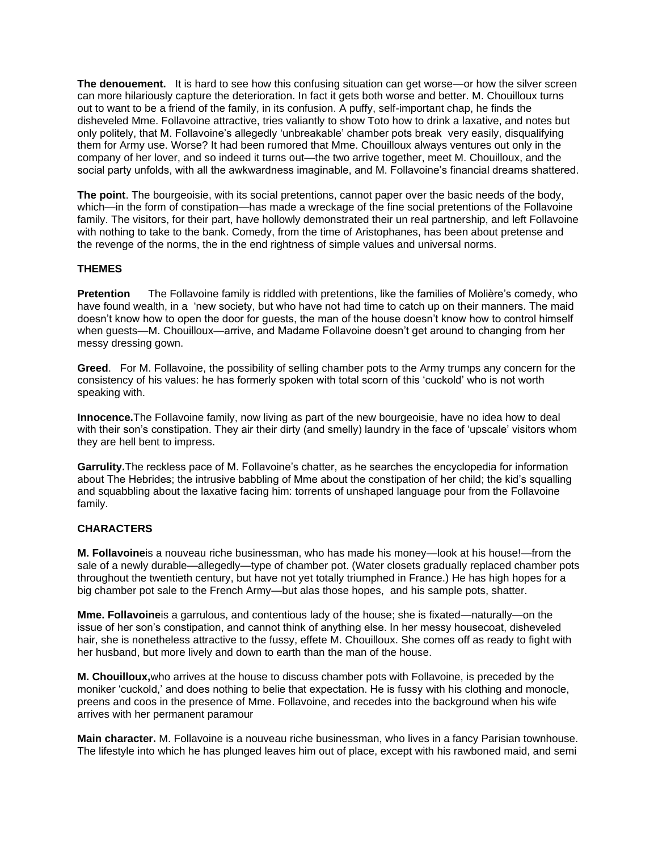**The denouement.** It is hard to see how this confusing situation can get worse—or how the silver screen can more hilariously capture the deterioration. In fact it gets both worse and better. M. Chouilloux turns out to want to be a friend of the family, in its confusion. A puffy, self-important chap, he finds the disheveled Mme. Follavoine attractive, tries valiantly to show Toto how to drink a laxative, and notes but only politely, that M. Follavoine's allegedly 'unbreakable' chamber pots break very easily, disqualifying them for Army use. Worse? It had been rumored that Mme. Chouilloux always ventures out only in the company of her lover, and so indeed it turns out—the two arrive together, meet M. Chouilloux, and the social party unfolds, with all the awkwardness imaginable, and M. Follavoine's financial dreams shattered.

**The point**. The bourgeoisie, with its social pretentions, cannot paper over the basic needs of the body, which—in the form of constipation—has made a wreckage of the fine social pretentions of the Follavoine family. The visitors, for their part, have hollowly demonstrated their un real partnership, and left Follavoine with nothing to take to the bank. Comedy, from the time of Aristophanes, has been about pretense and the revenge of the norms, the in the end rightness of simple values and universal norms.

### **THEMES**

**Pretention** The Follavoine family is riddled with pretentions, like the families of Molière's comedy, who have found wealth, in a 'new society, but who have not had time to catch up on their manners. The maid doesn't know how to open the door for guests, the man of the house doesn't know how to control himself when guests—M. Chouilloux—arrive, and Madame Follavoine doesn't get around to changing from her messy dressing gown.

**Greed**. For M. Follavoine, the possibility of selling chamber pots to the Army trumps any concern for the consistency of his values: he has formerly spoken with total scorn of this 'cuckold' who is not worth speaking with.

**Innocence.**The Follavoine family, now living as part of the new bourgeoisie, have no idea how to deal with their son's constipation. They air their dirty (and smelly) laundry in the face of 'upscale' visitors whom they are hell bent to impress.

**Garrulity.**The reckless pace of M. Follavoine's chatter, as he searches the encyclopedia for information about The Hebrides; the intrusive babbling of Mme about the constipation of her child; the kid's squalling and squabbling about the laxative facing him: torrents of unshaped language pour from the Follavoine family.

## **CHARACTERS**

**M. Follavoine**is a nouveau riche businessman, who has made his money—look at his house!—from the sale of a newly durable—allegedly—type of chamber pot. (Water closets gradually replaced chamber pots throughout the twentieth century, but have not yet totally triumphed in France.) He has high hopes for a big chamber pot sale to the French Army—but alas those hopes, and his sample pots, shatter.

**Mme. Follavoine**is a garrulous, and contentious lady of the house; she is fixated—naturally—on the issue of her son's constipation, and cannot think of anything else. In her messy housecoat, disheveled hair, she is nonetheless attractive to the fussy, effete M. Chouilloux. She comes off as ready to fight with her husband, but more lively and down to earth than the man of the house.

**M. Chouilloux,**who arrives at the house to discuss chamber pots with Follavoine, is preceded by the moniker 'cuckold,' and does nothing to belie that expectation. He is fussy with his clothing and monocle, preens and coos in the presence of Mme. Follavoine, and recedes into the background when his wife arrives with her permanent paramour

**Main character.** M. Follavoine is a nouveau riche businessman, who lives in a fancy Parisian townhouse. The lifestyle into which he has plunged leaves him out of place, except with his rawboned maid, and semi